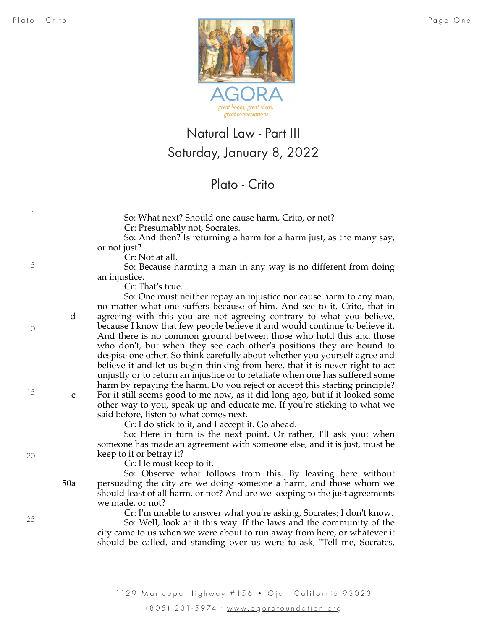5

10

15



# Natural Law - Part III Saturday, January 8, 2022 or general states acting university is evidence way with the share way was acting under the share was shared way

#### Plato - Crito  $\overline{\phantom{a}}$  and  $\overline{\phantom{a}}$  and  $\overline{\phantom{a}}$  and  $\overline{\phantom{a}}$  and  $\overline{\phantom{a}}$  and  $\overline{\phantom{a}}$  are pay and  $\overline{\phantom{a}}$  are pay and  $\overline{\phantom{a}}$  and  $\overline{\phantom{a}}$  are pay and  $\overline{\phantom{a}}$  are pay and  $\overline{\phantom{a}}$  are pay and  $\overline{\$

d e 50a Cr: It appears not. So: What next? Should one cause harm, Crito, or not? Cr: Presumably not, Socrates. So: And then? Is returning a harm for a harm just, as the many say, or not just? Cr: Not at all. So: Because harming a man in any way is no different from doing an injustice. Cr: That's true. So: One must neither repay an injustice nor cause harm to any man, no matter what one suffers because of him. And see to it, Crito, that in agreeing with this you are not agreeing contrary to what you believe, because I know that few people believe it and would continue to believe it. And there is no common ground between those who hold this and those who don't, but when they see each other's positions they are bound to despise one other. So think carefully about whether you yourself agree and believe it and let us begin thinking from here, that it is never right to act unjustly or to return an injustice or to retaliate when one has suffered some harm by repaying the harm. Do you reject or accept this starting principle? For it still seems good to me now, as it did long ago, but if it looked some other way to you, speak up and educate me. If you're sticking to what we said before, listen to what comes next. Cr: I do stick to it, and I accept it. Go ahead. So: Here in turn is the next point. Or rather, I'll ask you: when someone has made an agreement with someone else, and it is just, must he keep to it or betray it? Cr: He must keep to it. So: Observe what follows from this. By leaving here without persuading the city are we doing someone a harm, and those whom we should least of all harm, or not? And are we keeping to the just agreements

we made, or not?

Cr: I'm unable to answer what you're asking, Socrates; I don't know.

So: Well, look at it this way. If the laws and the community of the city came to us when we were about to run away from here, or whatever it should be called, and standing over us were to ask, "Tell me, Socrates,

1129 Maricopa Highway # 156 · Ojai, California 93023

25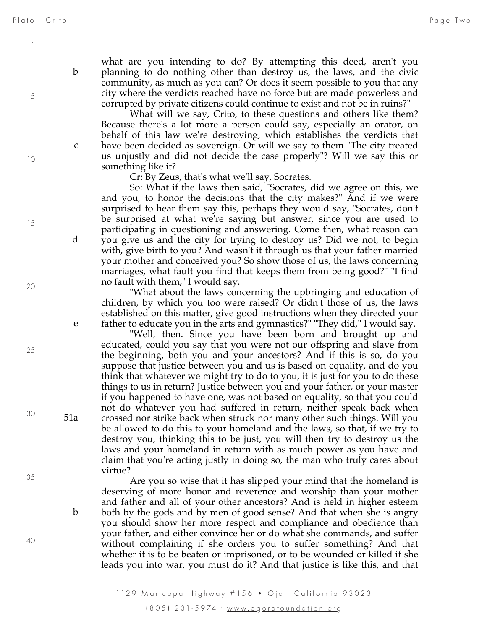10

15

20

25

30

35

5

b

c

d

e

51a

b

what are you intending to do? By attempting this deed, aren't you planning to do nothing other than destroy us, the laws, and the civic community, as much as you can? Or does it seem possible to you that any city where the verdicts reached have no force but are made powerless and corrupted by private citizens could continue to exist and not be in ruins?"

What will we say, Crito, to these questions and others like them? Because there's a lot more a person could say, especially an orator, on behalf of this law we're destroying, which establishes the verdicts that have been decided as sovereign. Or will we say to them "The city treated us unjustly and did not decide the case properly"? Will we say this or something like it?

Cr: By Zeus, that's what we'll say, Socrates.

So: What if the laws then said, "Socrates, did we agree on this, we and you, to honor the decisions that the city makes?" And if we were surprised to hear them say this, perhaps they would say, "Socrates, don't be surprised at what we're saying but answer, since you are used to participating in questioning and answering. Come then, what reason can you give us and the city for trying to destroy us? Did we not, to begin with, give birth to you? And wasn't it through us that your father married your mother and conceived you? So show those of us, the laws concerning marriages, what fault you find that keeps them from being good?" "I find no fault with them," I would say.

"What about the laws concerning the upbringing and education of children, by which you too were raised? Or didn't those of us, the laws established on this matter, give good instructions when they directed your father to educate you in the arts and gymnastics?" "They did," I would say.

"Well, then. Since you have been born and brought up and educated, could you say that you were not our offspring and slave from the beginning, both you and your ancestors? And if this is so, do you suppose that justice between you and us is based on equality, and do you think that whatever we might try to do to you, it is just for you to do these things to us in return? Justice between you and your father, or your master if you happened to have one, was not based on equality, so that you could not do whatever you had suffered in return, neither speak back when crossed nor strike back when struck nor many other such things. Will you be allowed to do this to your homeland and the laws, so that, if we try to destroy you, thinking this to be just, you will then try to destroy us the laws and your homeland in return with as much power as you have and claim that you're acting justly in doing so, the man who truly cares about virtue?

Are you so wise that it has slipped your mind that the homeland is deserving of more honor and reverence and worship than your mother and father and all of your other ancestors? And is held in higher esteem both by the gods and by men of good sense? And that when she is angry you should show her more respect and compliance and obedience than your father, and either convince her or do what she commands, and suffer without complaining if she orders you to suffer something? And that whether it is to be beaten or imprisoned, or to be wounded or killed if she leads you into war, you must do it? And that justice is like this, and that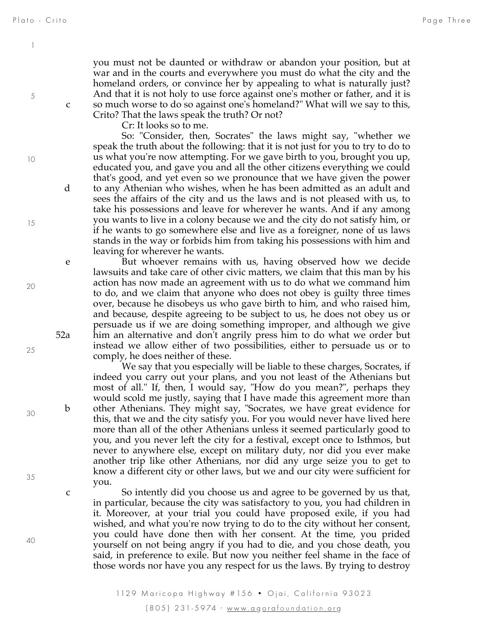5

c

d

e

52a

b

c

10

15

20

25

30

35

40

you must not be daunted or withdraw or abandon your position, but at war and in the courts and everywhere you must do what the city and the homeland orders, or convince her by appealing to what is naturally just? And that it is not holy to use force against one's mother or father, and it is so much worse to do so against one's homeland?" What will we say to this, Crito? That the laws speak the truth? Or not?

Cr: It looks so to me.

So: "Consider, then, Socrates" the laws might say, "whether we speak the truth about the following: that it is not just for you to try to do to us what you're now attempting. For we gave birth to you, brought you up, educated you, and gave you and all the other citizens everything we could that's good, and yet even so we pronounce that we have given the power to any Athenian who wishes, when he has been admitted as an adult and sees the affairs of the city and us the laws and is not pleased with us, to take his possessions and leave for wherever he wants. And if any among you wants to live in a colony because we and the city do not satisfy him, or if he wants to go somewhere else and live as a foreigner, none of us laws stands in the way or forbids him from taking his possessions with him and leaving for wherever he wants.

But whoever remains with us, having observed how we decide lawsuits and take care of other civic matters, we claim that this man by his action has now made an agreement with us to do what we command him to do, and we claim that anyone who does not obey is guilty three times over, because he disobeys us who gave birth to him, and who raised him, and because, despite agreeing to be subject to us, he does not obey us or persuade us if we are doing something improper, and although we give him an alternative and don't angrily press him to do what we order but instead we allow either of two possibilities, either to persuade us or to comply, he does neither of these.

We say that you especially will be liable to these charges, Socrates, if indeed you carry out your plans, and you not least of the Athenians but most of all." If, then, I would say, "How do you mean?", perhaps they would scold me justly, saying that I have made this agreement more than other Athenians. They might say, "Socrates, we have great evidence for this, that we and the city satisfy you. For you would never have lived here more than all of the other Athenians unless it seemed particularly good to you, and you never left the city for a festival, except once to Isthmos, but never to anywhere else, except on military duty, nor did you ever make another trip like other Athenians, nor did any urge seize you to get to know a different city or other laws, but we and our city were sufficient for you.

So intently did you choose us and agree to be governed by us that, in particular, because the city was satisfactory to you, you had children in it. Moreover, at your trial you could have proposed exile, if you had wished, and what you're now trying to do to the city without her consent, you could have done then with her consent. At the time, you prided yourself on not being angry if you had to die, and you chose death, you said, in preference to exile. But now you neither feel shame in the face of those words nor have you any respect for us the laws. By trying to destroy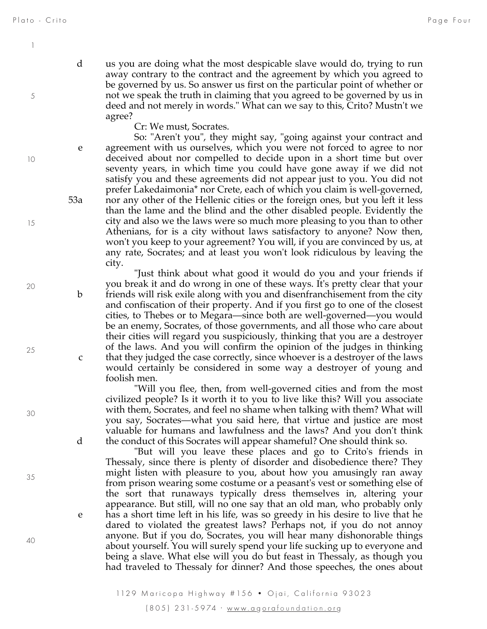5

10

e

53a

b

 $\mathcal{C}$ 

d

e

d us you are doing what the most despicable slave would do, trying to run away contrary to the contract and the agreement by which you agreed to be governed by us. So answer us first on the particular point of whether or not we speak the truth in claiming that you agreed to be governed by us in deed and not merely in words." What can we say to this, Crito? Mustn't we agree?

Cr: We must, Socrates.

So: "Aren't you", they might say, "going against your contract and agreement with us ourselves, which you were not forced to agree to nor deceived about nor compelled to decide upon in a short time but over seventy years, in which time you could have gone away if we did not satisfy you and these agreements did not appear just to you. You did not prefer Lakedaimonia\* nor Crete, each of which you claim is well-governed, nor any other of the Hellenic cities or the foreign ones, but you left it less than the lame and the blind and the other disabled people. Evidently the city and also we the laws were so much more pleasing to you than to other Athenians, for is a city without laws satisfactory to anyone? Now then, won't you keep to your agreement? You will, if you are convinced by us, at any rate, Socrates; and at least you won't look ridiculous by leaving the city.

"Just think about what good it would do you and your friends if you break it and do wrong in one of these ways. It's pretty clear that your friends will risk exile along with you and disenfranchisement from the city and confiscation of their property. And if you first go to one of the closest cities, to Thebes or to Megara—since both are well-governed—you would be an enemy, Socrates, of those governments, and all those who care about their cities will regard you suspiciously, thinking that you are a destroyer of the laws. And you will confirm the opinion of the judges in thinking that they judged the case correctly, since whoever is a destroyer of the laws would certainly be considered in some way a destroyer of young and foolish men.

"Will you flee, then, from well-governed cities and from the most civilized people? Is it worth it to you to live like this? Will you associate with them, Socrates, and feel no shame when talking with them? What will you say, Socrates—what you said here, that virtue and justice are most valuable for humans and lawfulness and the laws? And you don't think the conduct of this Socrates will appear shameful? One should think so.

"But will you leave these places and go to Crito's friends in Thessaly, since there is plenty of disorder and disobedience there? They might listen with pleasure to you, about how you amusingly ran away from prison wearing some costume or a peasant's vest or something else of the sort that runaways typically dress themselves in, altering your appearance. But still, will no one say that an old man, who probably only has a short time left in his life, was so greedy in his desire to live that he dared to violated the greatest laws? Perhaps not, if you do not annoy anyone. But if you do, Socrates, you will hear many dishonorable things about yourself. You will surely spend your life sucking up to everyone and being a slave. What else will you do but feast in Thessaly, as though you had traveled to Thessaly for dinner? And those speeches, the ones about

1129 Maricopa Highway # 156 · Ojai, California 93023

40

20

25

30

35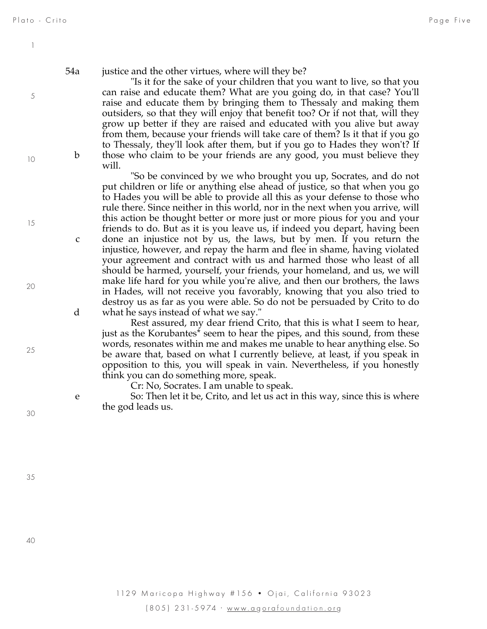5

10

b

c

d

e

15

20

25

Page Five

54a justice and the other virtues, where will they be?

> "Is it for the sake of your children that you want to live, so that you can raise and educate them? What are you going do, in that case? You'll raise and educate them by bringing them to Thessaly and making them outsiders, so that they will enjoy that benefit too? Or if not that, will they grow up better if they are raised and educated with you alive but away from them, because your friends will take care of them? Is it that if you go to Thessaly, they'll look after them, but if you go to Hades they won't? If those who claim to be your friends are any good, you must believe they will.

> "So be convinced by we who brought you up, Socrates, and do not put children or life or anything else ahead of justice, so that when you go to Hades you will be able to provide all this as your defense to those who rule there. Since neither in this world, nor in the next when you arrive, will this action be thought better or more just or more pious for you and your friends to do. But as it is you leave us, if indeed you depart, having been done an injustice not by us, the laws, but by men. If you return the injustice, however, and repay the harm and flee in shame, having violated your agreement and contract with us and harmed those who least of all should be harmed, yourself, your friends, your homeland, and us, we will make life hard for you while you're alive, and then our brothers, the laws in Hades, will not receive you favorably, knowing that you also tried to destroy us as far as you were able. So do not be persuaded by Crito to do what he says instead of what we say."

Rest assured, my dear friend Crito, that this is what I seem to hear, just as the Korubantes\* seem to hear the pipes, and this sound, from these words, resonates within me and makes me unable to hear anything else. So be aware that, based on what I currently believe, at least, if you speak in opposition to this, you will speak in vain. Nevertheless, if you honestly think you can do something more, speak.

Cr: No, Socrates. I am unable to speak.

So: Then let it be, Crito, and let us act in this way, since this is where the god leads us.

30

40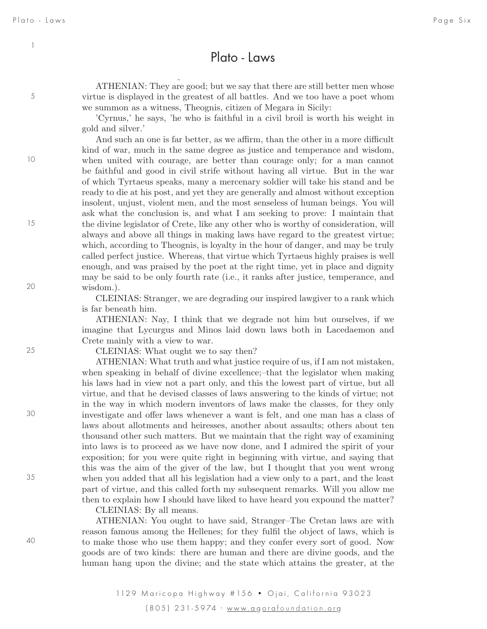5

10

# praise that the distinguish the main selection was selected war, and the main selection was a selected war, and  $\frac{1}{2}$

ATHENIAN: They are good; but we say that there are still better men whose virtue is displayed in the greatest of all battles. And we too have a poet whom we summon as a witness, Theognis, citizen of Megara in Sicily:

'Cyrnus,' he says, 'he who is faithful in a civil broil is worth his weight in gold and silver.'

And such an one is far better, as we affirm, than the other in a more difficult kind of war, much in the same degree as justice and temperance and wisdom, when united with courage, are better than courage only; for a man cannot be faithful and good in civil strife without having all virtue. But in the war of which Tyrtaeus speaks, many a mercenary soldier will take his stand and be ready to die at his post, and yet they are generally and almost without exception insolent, unjust, violent men, and the most senseless of human beings. You will ask what the conclusion is, and what I am seeking to prove: I maintain that the divine legislator of Crete, like any other who is worthy of consideration, will always and above all things in making laws have regard to the greatest virtue; which, according to Theognis, is loyalty in the hour of danger, and may be truly called perfect justice. Whereas, that virtue which Tyrtaeus highly praises is well enough, and was praised by the poet at the right time, yet in place and dignity may be said to be only fourth rate (i.e., it ranks after justice, temperance, and wisdom.).

CLEINIAS: Stranger, we are degrading our inspired lawgiver to a rank which is far beneath him.

ATHENIAN: Nay, I think that we degrade not him but ourselves, if we imagine that Lycurgus and Minos laid down laws both in Lacedaemon and Crete mainly with a view to war.

CLEINIAS: What ought we to say then?

CLEINIAS: Evidently.

ATHENIAN: What truth and what justice require of us, if I am not mistaken, when speaking in behalf of divine excellence;–that the legislator when making his laws had in view not a part only, and this the lowest part of virtue, but all virtue, and that he devised classes of laws answering to the kinds of virtue; not in the way in which modern inventors of laws make the classes, for they only investigate and offer laws whenever a want is felt, and one man has a class of laws about allotments and heiresses, another about assaults; others about ten thousand other such matters. But we maintain that the right way of examining into laws is to proceed as we have now done, and I admired the spirit of your exposition; for you were quite right in beginning with virtue, and saying that this was the aim of the giver of the law, but I thought that you went wrong when you added that all his legislation had a view only to a part, and the least part of virtue, and this called forth my subsequent remarks. Will you allow me then to explain how I should have liked to have heard you expound the matter?

CLEINIAS: By all means.

ATHENIAN: You ought to have said, Stranger–The Cretan laws are with reason famous among the Hellenes; for they fulfil the object of laws, which is to make those who use them happy; and they confer every sort of good. Now goods are of two kinds: there are human and there are divine goods, and the human hang upon the divine; and the state which attains the greater, at the

15

20

30

25

35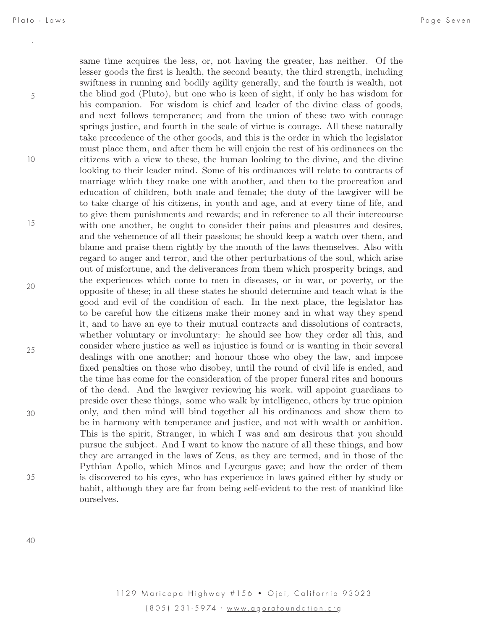5

10

15

20

25

30

35

same time acquires the less, or, not having the greater, has neither. Of the lesser goods the first is health, the second beauty, the third strength, including swiftness in running and bodily agility generally, and the fourth is wealth, not the blind god (Pluto), but one who is keen of sight, if only he has wisdom for his companion. For wisdom is chief and leader of the divine class of goods, and next follows temperance; and from the union of these two with courage springs justice, and fourth in the scale of virtue is courage. All these naturally take precedence of the other goods, and this is the order in which the legislator must place them, and after them he will enjoin the rest of his ordinances on the citizens with a view to these, the human looking to the divine, and the divine looking to their leader mind. Some of his ordinances will relate to contracts of marriage which they make one with another, and then to the procreation and education of children, both male and female; the duty of the lawgiver will be to take charge of his citizens, in youth and age, and at every time of life, and to give them punishments and rewards; and in reference to all their intercourse with one another, he ought to consider their pains and pleasures and desires, and the vehemence of all their passions; he should keep a watch over them, and blame and praise them rightly by the mouth of the laws themselves. Also with regard to anger and terror, and the other perturbations of the soul, which arise out of misfortune, and the deliverances from them which prosperity brings, and the experiences which come to men in diseases, or in war, or poverty, or the opposite of these; in all these states he should determine and teach what is the good and evil of the condition of each. In the next place, the legislator has to be careful how the citizens make their money and in what way they spend it, and to have an eye to their mutual contracts and dissolutions of contracts, whether voluntary or involuntary: he should see how they order all this, and consider where justice as well as injustice is found or is wanting in their several dealings with one another; and honour those who obey the law, and impose fixed penalties on those who disobey, until the round of civil life is ended, and the time has come for the consideration of the proper funeral rites and honours of the dead. And the lawgiver reviewing his work, will appoint guardians to preside over these things,–some who walk by intelligence, others by true opinion only, and then mind will bind together all his ordinances and show them to be in harmony with temperance and justice, and not with wealth or ambition. This is the spirit, Stranger, in which I was and am desirous that you should pursue the subject. And I want to know the nature of all these things, and how they are arranged in the laws of Zeus, as they are termed, and in those of the Pythian Apollo, which Minos and Lycurgus gave; and how the order of them is discovered to his eyes, who has experience in laws gained either by study or habit, although they are far from being self-evident to the rest of mankind like ourselves.

40

1129 Maricopa Highway #156 • Ojai, California 93023 (805) 231-5974 · www.a g ora foundation .or g TTZ9 Maricopa i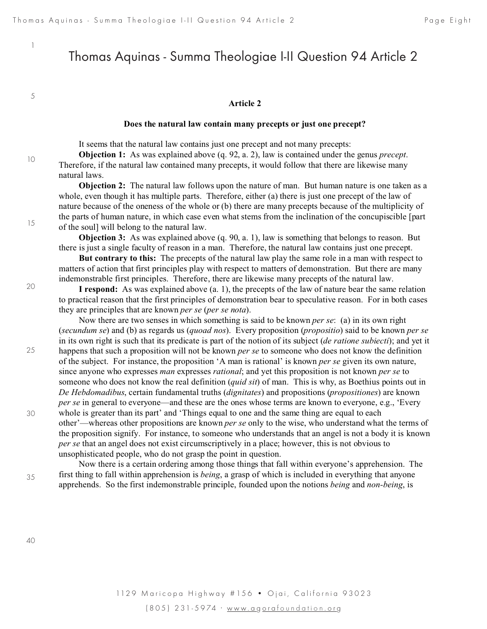#### Thomas Aquings Summa Thoologian III Question 01 Article 2 Thomas Aquinas - Summa Theologiae I-II Question 94 Article 2

5

10

1

# **Article 2**

#### **Does the natural law contain many precepts or just one precept?**

It seems that the natural law contains just one precept and not many precepts:

**Objection 1:** As was explained above (q. 92, a. 2), law is contained under the genus *precept*. Therefore, if the natural law contained many precepts, it would follow that there are likewise many natural laws.

**Objection 2:** The natural law follows upon the nature of man. But human nature is one taken as a whole, even though it has multiple parts. Therefore, either (a) there is just one precept of the law of nature because of the oneness of the whole or (b) there are many precepts because of the multiplicity of the parts of human nature, in which case even what stems from the inclination of the concupiscible [part of the soul] will belong to the natural law.

**Objection 3:** As was explained above (q. 90, a. 1), law is something that belongs to reason. But there is just a single faculty of reason in a man. Therefore, the natural law contains just one precept.

**But contrary to this:** The precepts of the natural law play the same role in a man with respect to matters of action that first principles play with respect to matters of demonstration. But there are many indemonstrable first principles. Therefore, there are likewise many precepts of the natural law.

**I respond:** As was explained above (a. 1), the precepts of the law of nature bear the same relation to practical reason that the first principles of demonstration bear to speculative reason. For in both cases they are principles that are known *per se* (*per se nota*).

Now there are two senses in which something is said to be known *per se*: (a) in its own right (*secundum se*) and (b) as regards us (*quoad nos*). Every proposition (*propositio*) said to be known *per se* in its own right is such that its predicate is part of the notion of its subject (*de ratione subiecti*); and yet it happens that such a proposition will not be known *per se* to someone who does not know the definition of the subject. For instance, the proposition 'A man is rational' is known *per se* given its own nature, since anyone who expresses *man* expresses *rational*; and yet this proposition is not known *per se* to someone who does not know the real definition (*quid sit*) of man. This is why, as Boethius points out in *De Hebdomadibus*, certain fundamental truths (*dignitates*) and propositions (*propositiones*) are known *per se* in general to everyone—and these are the ones whose terms are known to everyone, e.g., 'Every whole is greater than its part' and 'Things equal to one and the same thing are equal to each other'—whereas other propositions are known *per se* only to the wise, who understand what the terms of the proposition signify. For instance, to someone who understands that an angel is not a body it is known *per se* that an angel does not exist circumscriptively in a place; however, this is not obvious to unsophisticated people, who do not grasp the point in question.

Now there is a certain ordering among those things that fall within everyone's apprehension. The first thing to fall within apprehension is *being*, a grasp of which is included in everything that anyone apprehends. So the first indemonstrable principle, founded upon the notions *being* and *non-being*, is

15

20

25

35

30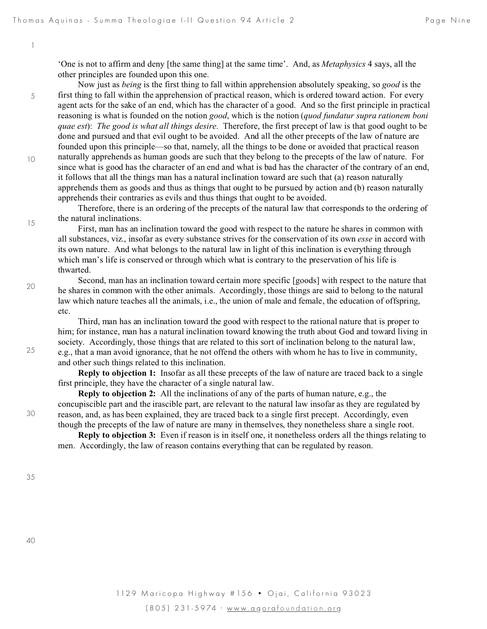15

20

25

30

'One is not to affirm and deny [the same thing] at the same time'. And, as *Metaphysics* 4 says, all the other principles are founded upon this one.

Now just as *being* is the first thing to fall within apprehension absolutely speaking, so *good* is the first thing to fall within the apprehension of practical reason, which is ordered toward action. For every agent acts for the sake of an end, which has the character of a good. And so the first principle in practical reasoning is what is founded on the notion *good*, which is the notion (*quod fundatur supra rationem boni quae est*): *The good is what all things desire*. Therefore, the first precept of law is that good ought to be done and pursued and that evil ought to be avoided. And all the other precepts of the law of nature are founded upon this principle—so that, namely, all the things to be done or avoided that practical reason naturally apprehends as human goods are such that they belong to the precepts of the law of nature. For since what is good has the character of an end and what is bad has the character of the contrary of an end, it follows that all the things man has a natural inclination toward are such that (a) reason naturally apprehends them as goods and thus as things that ought to be pursued by action and (b) reason naturally apprehends their contraries as evils and thus things that ought to be avoided. 5 10

Therefore, there is an ordering of the precepts of the natural law that corresponds to the ordering of the natural inclinations.

First, man has an inclination toward the good with respect to the nature he shares in common with all substances, viz., insofar as every substance strives for the conservation of its own *esse* in accord with its own nature. And what belongs to the natural law in light of this inclination is everything through which man's life is conserved or through which what is contrary to the preservation of his life is thwarted.

Second, man has an inclination toward certain more specific [goods] with respect to the nature that he shares in common with the other animals. Accordingly, those things are said to belong to the natural law which nature teaches all the animals, i.e., the union of male and female, the education of offspring, etc.

Third, man has an inclination toward the good with respect to the rational nature that is proper to him; for instance, man has a natural inclination toward knowing the truth about God and toward living in society. Accordingly, those things that are related to this sort of inclination belong to the natural law, e.g., that a man avoid ignorance, that he not offend the others with whom he has to live in community, and other such things related to this inclination.

**Reply to objection 1:** Insofar as all these precepts of the law of nature are traced back to a single first principle, they have the character of a single natural law.

**Reply to objection 2:** All the inclinations of any of the parts of human nature, e.g., the concupiscible part and the irascible part, are relevant to the natural law insofar as they are regulated by reason, and, as has been explained, they are traced back to a single first precept. Accordingly, even though the precepts of the law of nature are many in themselves, they nonetheless share a single root.

**Reply to objection 3:** Even if reason is in itself one, it nonetheless orders all the things relating to men. Accordingly, the law of reason contains everything that can be regulated by reason.

35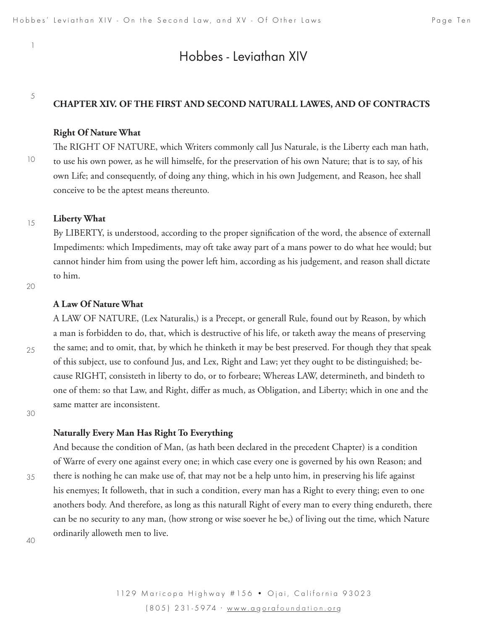# Hobbes - Leviathan XIV

#### 5

10

# **CHAPTER XIV. OF THE FIRST AND SECOND NATURALL LAWES, AND OF CONTRACTS**

# **Right Of Nature What**

The RIGHT OF NATURE, which Writers commonly call Jus Naturale, is the Liberty each man hath, to use his own power, as he will himselfe, for the preservation of his own Nature; that is to say, of his own Life; and consequently, of doing any thing, which in his own Judgement, and Reason, hee shall conceive to be the aptest means thereunto.

#### **Liberty What** 15

By LIBERTY, is understood, according to the proper signification of the word, the absence of externall Impediments: which Impediments, may oft take away part of a mans power to do what hee would; but cannot hinder him from using the power left him, according as his judgement, and reason shall dictate to him.

20

25

# **A Law Of Nature What**

A LAW OF NATURE, (Lex Naturalis,) is a Precept, or generall Rule, found out by Reason, by which a man is forbidden to do, that, which is destructive of his life, or taketh away the means of preserving the same; and to omit, that, by which he thinketh it may be best preserved. For though they that speak of this subject, use to confound Jus, and Lex, Right and Law; yet they ought to be distinguished; because RIGHT, consisteth in liberty to do, or to forbeare; Whereas LAW, determineth, and bindeth to one of them: so that Law, and Right, differ as much, as Obligation, and Liberty; which in one and the same matter are inconsistent.

30

35

# **Naturally Every Man Has Right To Everything**

And because the condition of Man, (as hath been declared in the precedent Chapter) is a condition of Warre of every one against every one; in which case every one is governed by his own Reason; and there is nothing he can make use of, that may not be a help unto him, in preserving his life against his enemyes; It followeth, that in such a condition, every man has a Right to every thing; even to one anothers body. And therefore, as long as this naturall Right of every man to every thing endureth, there can be no security to any man, (how strong or wise soever he be,) of living out the time, which Nature ordinarily alloweth men to live.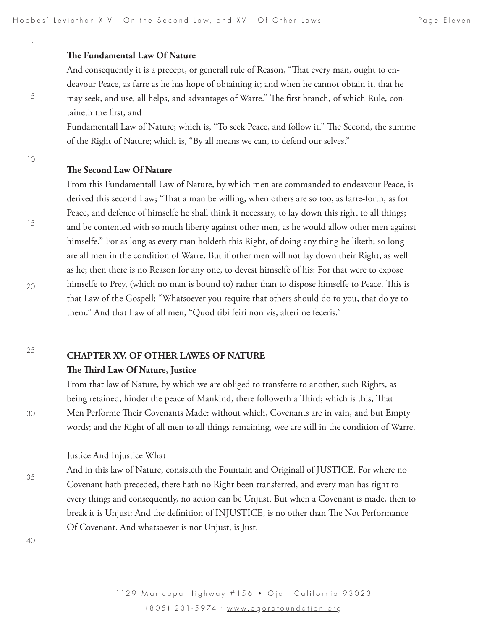5

# **The Fundamental Law Of Nature**

And consequently it is a precept, or generall rule of Reason, "That every man, ought to endeavour Peace, as farre as he has hope of obtaining it; and when he cannot obtain it, that he may seek, and use, all helps, and advantages of Warre." The first branch, of which Rule, containeth the first, and

Fundamentall Law of Nature; which is, "To seek Peace, and follow it." The Second, the summe of the Right of Nature; which is, "By all means we can, to defend our selves."

#### 10

15

# **The Second Law Of Nature**

From this Fundamentall Law of Nature, by which men are commanded to endeavour Peace, is derived this second Law; "That a man be willing, when others are so too, as farre-forth, as for Peace, and defence of himselfe he shall think it necessary, to lay down this right to all things; and be contented with so much liberty against other men, as he would allow other men against himselfe." For as long as every man holdeth this Right, of doing any thing he liketh; so long are all men in the condition of Warre. But if other men will not lay down their Right, as well as he; then there is no Reason for any one, to devest himselfe of his: For that were to expose himselfe to Prey, (which no man is bound to) rather than to dispose himselfe to Peace. This is that Law of the Gospell; "Whatsoever you require that others should do to you, that do ye to them." And that Law of all men, "Quod tibi feiri non vis, alteri ne feceris."

#### 25

30

35

20

# **CHAPTER XV. OF OTHER LAWES OF NATURE**

#### **The Third Law Of Nature, Justice**

From that law of Nature, by which we are obliged to transferre to another, such Rights, as being retained, hinder the peace of Mankind, there followeth a Third; which is this, That Men Performe Their Covenants Made: without which, Covenants are in vain, and but Empty words; and the Right of all men to all things remaining, wee are still in the condition of Warre.

#### Justice And Injustice What

And in this law of Nature, consisteth the Fountain and Originall of JUSTICE. For where no Covenant hath preceded, there hath no Right been transferred, and every man has right to every thing; and consequently, no action can be Unjust. But when a Covenant is made, then to break it is Unjust: And the definition of INJUSTICE, is no other than The Not Performance Of Covenant. And whatsoever is not Unjust, is Just.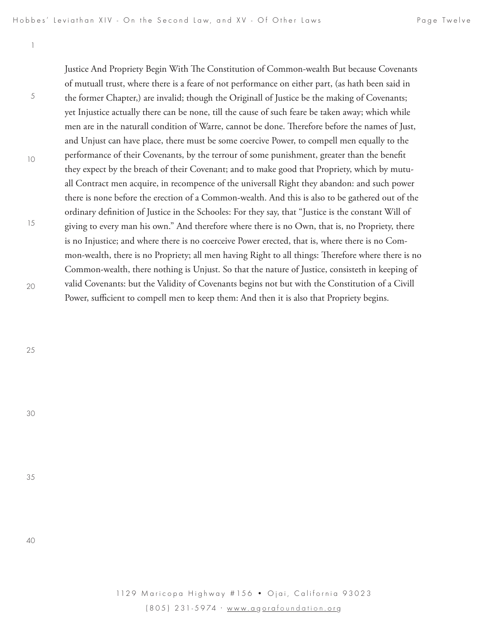Justice And Propriety Begin With The Constitution of Common-wealth But because Covenants of mutuall trust, where there is a feare of not performance on either part, (as hath been said in the former Chapter,) are invalid; though the Originall of Justice be the making of Covenants; yet Injustice actually there can be none, till the cause of such feare be taken away; which while men are in the naturall condition of Warre, cannot be done. Therefore before the names of Just, and Unjust can have place, there must be some coercive Power, to compell men equally to the performance of their Covenants, by the terrour of some punishment, greater than the benefit they expect by the breach of their Covenant; and to make good that Propriety, which by mutuall Contract men acquire, in recompence of the universall Right they abandon: and such power there is none before the erection of a Common-wealth. And this is also to be gathered out of the ordinary definition of Justice in the Schooles: For they say, that "Justice is the constant Will of giving to every man his own." And therefore where there is no Own, that is, no Propriety, there is no Injustice; and where there is no coerceive Power erected, that is, where there is no Common-wealth, there is no Propriety; all men having Right to all things: Therefore where there is no Common-wealth, there nothing is Unjust. So that the nature of Justice, consisteth in keeping of valid Covenants: but the Validity of Covenants begins not but with the Constitution of a Civill Power, sufficient to compell men to keep them: And then it is also that Propriety begins. 5 10 15 20

25

30

40